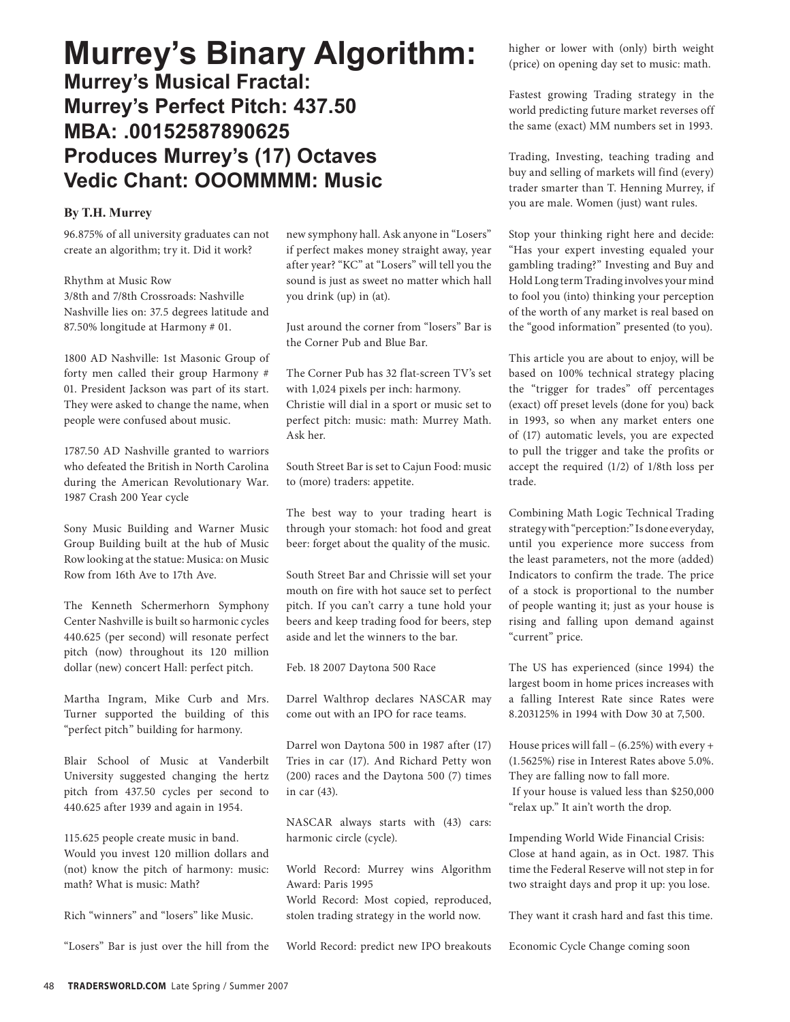## **Murrey's Binary Algorithm:**

**Murrey's Musical Fractal: Murrey's Perfect Pitch: 437.50 MBA: .00152587890625 Produces Murrey's (17) Octaves Vedic Chant: OOOMMMM: Music**

#### **By T.H. Murrey**

96.875% of all university graduates can not create an algorithm; try it. Did it work?

Rhythm at Music Row 3/8th and 7/8th Crossroads: Nashville Nashville lies on: 37.5 degrees latitude and 87.50% longitude at Harmony # 01.

1800 AD Nashville: 1st Masonic Group of forty men called their group Harmony # 01. President Jackson was part of its start. They were asked to change the name, when people were confused about music.

1787.50 AD Nashville granted to warriors who defeated the British in North Carolina during the American Revolutionary War. 1987 Crash 200 Year cycle

Sony Music Building and Warner Music Group Building built at the hub of Music Row looking at the statue: Musica: on Music Row from 16th Ave to 17th Ave.

The Kenneth Schermerhorn Symphony Center Nashville is built so harmonic cycles 440.625 (per second) will resonate perfect pitch (now) throughout its 120 million dollar (new) concert Hall: perfect pitch.

Martha Ingram, Mike Curb and Mrs. Turner supported the building of this "perfect pitch" building for harmony.

Blair School of Music at Vanderbilt University suggested changing the hertz pitch from 437.50 cycles per second to 440.625 after 1939 and again in 1954.

115.625 people create music in band. Would you invest 120 million dollars and (not) know the pitch of harmony: music: math? What is music: Math?

Rich "winners" and "losers" like Music.

"Losers" Bar is just over the hill from the

new symphony hall. Ask anyone in "Losers" if perfect makes money straight away, year after year? "KC" at "Losers" will tell you the sound is just as sweet no matter which hall you drink (up) in (at).

Just around the corner from "losers" Bar is the Corner Pub and Blue Bar.

The Corner Pub has 32 flat-screen TV's set with 1,024 pixels per inch: harmony. Christie will dial in a sport or music set to perfect pitch: music: math: Murrey Math. Ask her.

South Street Bar is set to Cajun Food: music to (more) traders: appetite.

The best way to your trading heart is through your stomach: hot food and great beer: forget about the quality of the music.

South Street Bar and Chrissie will set your mouth on fire with hot sauce set to perfect pitch. If you can't carry a tune hold your beers and keep trading food for beers, step aside and let the winners to the bar.

Feb. 18 2007 Daytona 500 Race

Darrel Walthrop declares NASCAR may come out with an IPO for race teams.

Darrel won Daytona 500 in 1987 after (17) Tries in car (17). And Richard Petty won (200) races and the Daytona 500 (7) times in car (43).

NASCAR always starts with (43) cars: harmonic circle (cycle).

World Record: Murrey wins Algorithm Award: Paris 1995 World Record: Most copied, reproduced,

stolen trading strategy in the world now.

World Record: predict new IPO breakouts

higher or lower with (only) birth weight (price) on opening day set to music: math.

Fastest growing Trading strategy in the world predicting future market reverses off the same (exact) MM numbers set in 1993.

Trading, Investing, teaching trading and buy and selling of markets will find (every) trader smarter than T. Henning Murrey, if you are male. Women (just) want rules.

Stop your thinking right here and decide: "Has your expert investing equaled your gambling trading?" Investing and Buy and Hold Long term Trading involves your mind to fool you (into) thinking your perception of the worth of any market is real based on the "good information" presented (to you).

This article you are about to enjoy, will be based on 100% technical strategy placing the "trigger for trades" off percentages (exact) off preset levels (done for you) back in 1993, so when any market enters one of (17) automatic levels, you are expected to pull the trigger and take the profits or accept the required (1/2) of 1/8th loss per trade.

Combining Math Logic Technical Trading strategy with "perception:" Is done everyday, until you experience more success from the least parameters, not the more (added) Indicators to confirm the trade. The price of a stock is proportional to the number of people wanting it; just as your house is rising and falling upon demand against "current" price.

The US has experienced (since 1994) the largest boom in home prices increases with a falling Interest Rate since Rates were 8.203125% in 1994 with Dow 30 at 7,500.

House prices will fall – (6.25%) with every + (1.5625%) rise in Interest Rates above 5.0%. They are falling now to fall more. If your house is valued less than \$250,000

"relax up." It ain't worth the drop.

Impending World Wide Financial Crisis: Close at hand again, as in Oct. 1987. This time the Federal Reserve will not step in for two straight days and prop it up: you lose.

They want it crash hard and fast this time.

Economic Cycle Change coming soon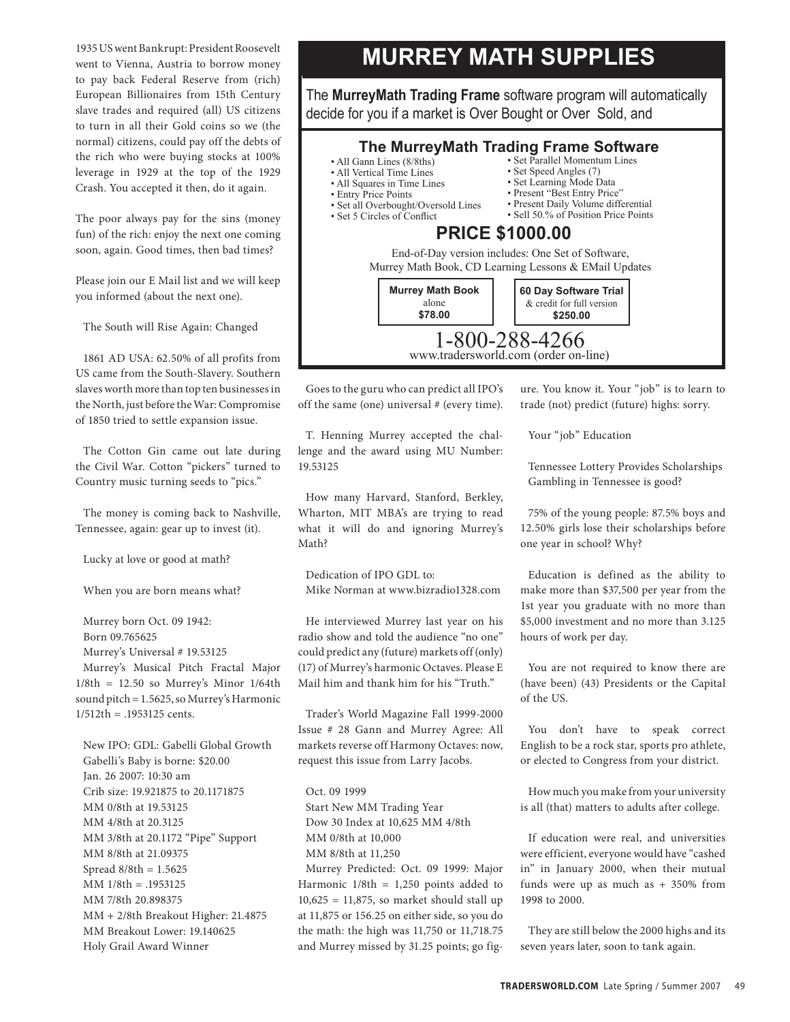1935 US went Bankrupt: President Roosevelt went to Vienna, Austria to borrow money to pay back Federal Reserve from (rich) European Billionaires from 15th Century slave trades and required (all) US citizens to turn in all their Gold coins so we (the normal) citizens, could pay off the debts of the rich who were buying stocks at 100% leverage in 1929 at the top of the 1929 Crash. You accepted it then, do it again.

The poor always pay for the sins (money fun) of the rich: enjoy the next one coming soon, again. Good times, then bad times?

Please join our E Mail list and we will keep you informed (about the next one).

The South will Rise Again: Changed

1861 AD USA: 62.50% of all profits from US came from the South-Slavery. Southern slaves worth more than top ten businesses in the North, just before the War: Compromise of 1850 tried to settle expansion issue.

The Cotton Gin came out late during the Civil War. Cotton "pickers" turned to Country music turning seeds to "pics."

The money is coming back to Nashville, Tennessee, again: gear up to invest (it).

Lucky at love or good at math?

When you are born means what?

Murrey born Oct. 09 1942:

Born 09.765625

Murrey's Universal # 19.53125

Murrey's Musical Pitch Fractal Major  $1/8th = 12.50$  so Murrey's Minor  $1/64th$ sound pitch = 1.5625, so Murrey's Harmonic 1/512th = .1953125 cents.

New IPO: GDL: Gabelli Global Growth Gabelli's Baby is borne: \$20.00 Jan. 26 2007: 10:30 am Crib size: 19.921875 to 20.1171875 MM 0/8th at 19.53125 MM 4/8th at 20.3125 MM 3/8th at 20.1172 "Pipe" Support MM 8/8th at 21.09375 Spread 8/8th = 1.5625 MM 1/8th = .1953125 MM 7/8th 20.898375 MM + 2/8th Breakout Higher: 21.4875 MM Breakout Lower: 19.140625 Holy Grail Award Winner

### **MURREY MATH SUPPLIES**

The **MurreyMath Trading Frame** software program will automatically decide for you if a market is Over Bought or Over Sold, and

#### **The MurreyMath Trading Frame Software** • Set Parallel Momentum Lines

- All Gann Lines (8/8ths)
- All Vertical Time Lines
- All Squares in Time Lines
- Entry Price Points • Set all Overbought/Oversold Lines
- Set 5 Circles of Conflict
- Set Speed Angles (7)
- Set Learning Mode Data
- Present "Best Entry Price"
	- Present Daily Volume differential • Sell 50.% of Position Price Points
- **PRICE \$1000.00**

End-of-Day version includes: One Set of Software, Murrey Math Book, CD Learning Lessons & EMail Updates



Goes to the guru who can predict all IPO's off the same (one) universal # (every time).

T. Henning Murrey accepted the challenge and the award using MU Number: 19.53125

How many Harvard, Stanford, Berkley, Wharton, MIT MBA's are trying to read what it will do and ignoring Murrey's Math?

Dedication of IPO GDL to: Mike Norman at www.bizradio1328.com

He interviewed Murrey last year on his radio show and told the audience "no one" could predict any (future) markets off (only) (17) of Murrey's harmonic Octaves. Please E Mail him and thank him for his "Truth."

Trader's World Magazine Fall 1999-2000 Issue # 28 Gann and Murrey Agree: All markets reverse off Harmony Octaves: now, request this issue from Larry Jacobs.

Oct. 09 1999 Start New MM Trading Year Dow 30 Index at 10,625 MM 4/8th MM 0/8th at 10,000 MM 8/8th at 11,250 Murrey Predicted: Oct. 09 1999: Major

Harmonic  $1/8$ th = 1,250 points added to  $10,625 = 11,875$ , so market should stall up at 11,875 or 156.25 on either side, so you do the math: the high was 11,750 or 11,718.75 and Murrey missed by 31.25 points; go figure. You know it. Your "job" is to learn to trade (not) predict (future) highs: sorry.

Your "job" Education

Tennessee Lottery Provides Scholarships Gambling in Tennessee is good?

75% of the young people: 87.5% boys and 12.50% girls lose their scholarships before one year in school? Why?

Education is defined as the ability to make more than \$37,500 per year from the 1st year you graduate with no more than \$5,000 investment and no more than 3.125 hours of work per day.

You are not required to know there are (have been) (43) Presidents or the Capital of the US.

You don't have to speak correct English to be a rock star, sports pro athlete, or elected to Congress from your district.

How much you make from your university is all (that) matters to adults after college.

If education were real, and universities were efficient, everyone would have "cashed in" in January 2000, when their mutual funds were up as much as  $+350\%$  from 1998 to 2000.

They are still below the 2000 highs and its seven years later, soon to tank again.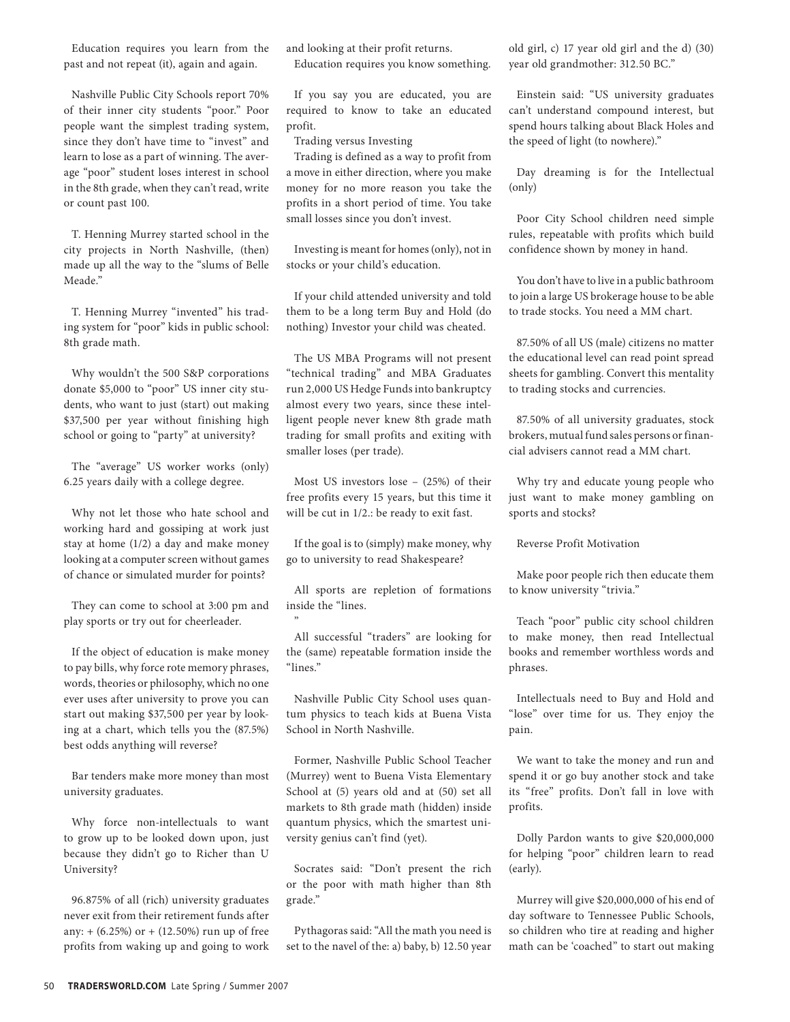Education requires you learn from the past and not repeat (it), again and again.

Nashville Public City Schools report 70% of their inner city students "poor." Poor people want the simplest trading system, since they don't have time to "invest" and learn to lose as a part of winning. The average "poor" student loses interest in school in the 8th grade, when they can't read, write or count past 100.

T. Henning Murrey started school in the city projects in North Nashville, (then) made up all the way to the "slums of Belle Meade."

T. Henning Murrey "invented" his trading system for "poor" kids in public school: 8th grade math.

Why wouldn't the 500 S&P corporations donate \$5,000 to "poor" US inner city students, who want to just (start) out making \$37,500 per year without finishing high school or going to "party" at university?

The "average" US worker works (only) 6.25 years daily with a college degree.

Why not let those who hate school and working hard and gossiping at work just stay at home (1/2) a day and make money looking at a computer screen without games of chance or simulated murder for points?

They can come to school at 3:00 pm and play sports or try out for cheerleader.

If the object of education is make money to pay bills, why force rote memory phrases, words, theories or philosophy, which no one ever uses after university to prove you can start out making \$37,500 per year by looking at a chart, which tells you the (87.5%) best odds anything will reverse?

Bar tenders make more money than most university graduates.

Why force non-intellectuals to want to grow up to be looked down upon, just because they didn't go to Richer than U University?

96.875% of all (rich) university graduates never exit from their retirement funds after any:  $+$  (6.25%) or  $+$  (12.50%) run up of free profits from waking up and going to work and looking at their profit returns. Education requires you know something.

If you say you are educated, you are required to know to take an educated profit.

Trading versus Investing

Trading is defined as a way to profit from a move in either direction, where you make money for no more reason you take the profits in a short period of time. You take small losses since you don't invest.

Investing is meant for homes (only), not in stocks or your child's education.

If your child attended university and told them to be a long term Buy and Hold (do nothing) Investor your child was cheated.

The US MBA Programs will not present "technical trading" and MBA Graduates run 2,000 US Hedge Funds into bankruptcy almost every two years, since these intelligent people never knew 8th grade math trading for small profits and exiting with smaller loses (per trade).

Most US investors lose – (25%) of their free profits every 15 years, but this time it will be cut in 1/2.: be ready to exit fast.

If the goal is to (simply) make money, why go to university to read Shakespeare?

All sports are repletion of formations inside the "lines.

"

All successful "traders" are looking for the (same) repeatable formation inside the "lines."

Nashville Public City School uses quantum physics to teach kids at Buena Vista School in North Nashville.

Former, Nashville Public School Teacher (Murrey) went to Buena Vista Elementary School at (5) years old and at (50) set all markets to 8th grade math (hidden) inside quantum physics, which the smartest university genius can't find (yet).

Socrates said: "Don't present the rich or the poor with math higher than 8th grade."

Pythagoras said: "All the math you need is set to the navel of the: a) baby, b) 12.50 year old girl, c) 17 year old girl and the d) (30) year old grandmother: 312.50 BC."

Einstein said: "US university graduates can't understand compound interest, but spend hours talking about Black Holes and the speed of light (to nowhere)."

Day dreaming is for the Intellectual (only)

Poor City School children need simple rules, repeatable with profits which build confidence shown by money in hand.

You don't have to live in a public bathroom to join a large US brokerage house to be able to trade stocks. You need a MM chart.

87.50% of all US (male) citizens no matter the educational level can read point spread sheets for gambling. Convert this mentality to trading stocks and currencies.

87.50% of all university graduates, stock brokers, mutual fund sales persons or financial advisers cannot read a MM chart.

Why try and educate young people who just want to make money gambling on sports and stocks?

Reverse Profit Motivation

Make poor people rich then educate them to know university "trivia."

Teach "poor" public city school children to make money, then read Intellectual books and remember worthless words and phrases.

Intellectuals need to Buy and Hold and "lose" over time for us. They enjoy the pain.

We want to take the money and run and spend it or go buy another stock and take its "free" profits. Don't fall in love with profits.

Dolly Pardon wants to give \$20,000,000 for helping "poor" children learn to read (early).

Murrey will give \$20,000,000 of his end of day software to Tennessee Public Schools, so children who tire at reading and higher math can be 'coached" to start out making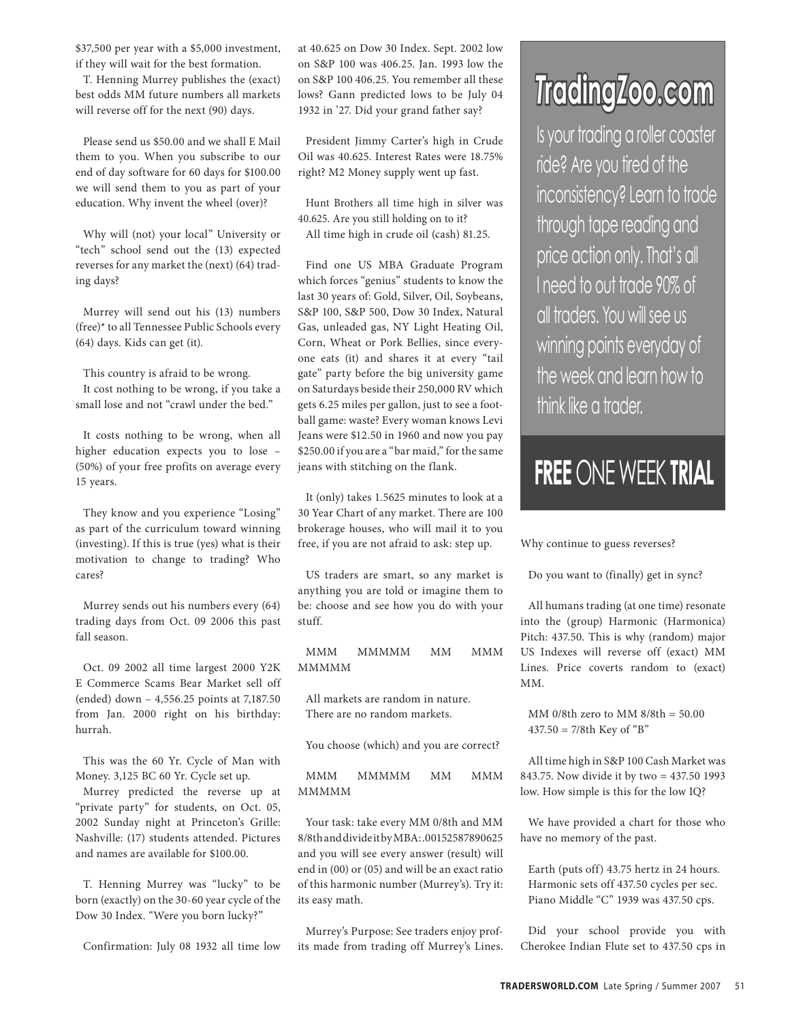\$37,500 per year with a \$5,000 investment, if they will wait for the best formation.

T. Henning Murrey publishes the (exact) best odds MM future numbers all markets will reverse off for the next (90) days.

Please send us \$50.00 and we shall E Mail them to you. When you subscribe to our end of day software for 60 days for \$100.00 we will send them to you as part of your education. Why invent the wheel (over)?

Why will (not) your local" University or "tech" school send out the (13) expected reverses for any market the (next) (64) trading days?

Murrey will send out his (13) numbers (free)\* to all Tennessee Public Schools every (64) days. Kids can get (it).

This country is afraid to be wrong. It cost nothing to be wrong, if you take a small lose and not "crawl under the bed."

It costs nothing to be wrong, when all higher education expects you to lose – (50%) of your free profits on average every 15 years.

They know and you experience "Losing" as part of the curriculum toward winning (investing). If this is true (yes) what is their motivation to change to trading? Who cares?

Murrey sends out his numbers every (64) trading days from Oct. 09 2006 this past fall season.

Oct. 09 2002 all time largest 2000 Y2K E Commerce Scams Bear Market sell off (ended) down – 4,556.25 points at 7,187.50 from Jan. 2000 right on his birthday: hurrah.

This was the 60 Yr. Cycle of Man with Money. 3,125 BC 60 Yr. Cycle set up.

Murrey predicted the reverse up at "private party" for students, on Oct. 05, 2002 Sunday night at Princeton's Grille: Nashville: (17) students attended. Pictures and names are available for \$100.00.

T. Henning Murrey was "lucky" to be born (exactly) on the 30-60 year cycle of the Dow 30 Index. "Were you born lucky?"

Confirmation: July 08 1932 all time low

at 40.625 on Dow 30 Index. Sept. 2002 low on S&P 100 was 406.25. Jan. 1993 low the on S&P 100 406.25. You remember all these lows? Gann predicted lows to be July 04 1932 in '27. Did your grand father say?

President Jimmy Carter's high in Crude Oil was 40.625. Interest Rates were 18.75% right? M2 Money supply went up fast.

Hunt Brothers all time high in silver was 40.625. Are you still holding on to it? All time high in crude oil (cash) 81.25.

Find one US MBA Graduate Program which forces "genius" students to know the last 30 years of: Gold, Silver, Oil, Soybeans, S&P 100, S&P 500, Dow 30 Index, Natural Gas, unleaded gas, NY Light Heating Oil, Corn, Wheat or Pork Bellies, since everyone eats (it) and shares it at every "tail gate" party before the big university game on Saturdays beside their 250,000 RV which gets 6.25 miles per gallon, just to see a football game: waste? Every woman knows Levi Jeans were \$12.50 in 1960 and now you pay \$250.00 if you are a "bar maid," for the same jeans with stitching on the flank.

It (only) takes 1.5625 minutes to look at a 30 Year Chart of any market. There are 100 brokerage houses, who will mail it to you free, if you are not afraid to ask: step up.

US traders are smart, so any market is anything you are told or imagine them to be: choose and see how you do with your stuff.

MMM MMMMM MM MMM MMMMM

All markets are random in nature. There are no random markets.

You choose (which) and you are correct?

MMM MMMMM MM MMM MMMMM

Your task: take every MM 0/8th and MM 8/8th and divide it by MBA: .00152587890625 and you will see every answer (result) will end in (00) or (05) and will be an exact ratio of this harmonic number (Murrey's). Try it: its easy math.

Murrey's Purpose: See traders enjoy profits made from trading off Murrey's Lines.

# *T***rading***Z***oo.com**

Is your trading a roller coaster ride? Are you tired of the inconsistency? Learn to trade through tape reading and price action only. That's all I need to out trade 90% of all traders. You will see us winning points everyday of the week and learn how to think like a trader.

## **FREE** ONE WEEK **TRIAL**

Why continue to guess reverses?

Do you want to (finally) get in sync?

All humans trading (at one time) resonate into the (group) Harmonic (Harmonica) Pitch: 437.50. This is why (random) major US Indexes will reverse off (exact) MM Lines. Price coverts random to (exact) MM.

MM 0/8th zero to MM 8/8th = 50.00  $437.50 = 7/8$ th Key of "B"

All time high in S&P 100 Cash Market was 843.75. Now divide it by two = 437.50 1993 low. How simple is this for the low IQ?

We have provided a chart for those who have no memory of the past.

Earth (puts off) 43.75 hertz in 24 hours. Harmonic sets off 437.50 cycles per sec. Piano Middle "C" 1939 was 437.50 cps.

Did your school provide you with Cherokee Indian Flute set to 437.50 cps in